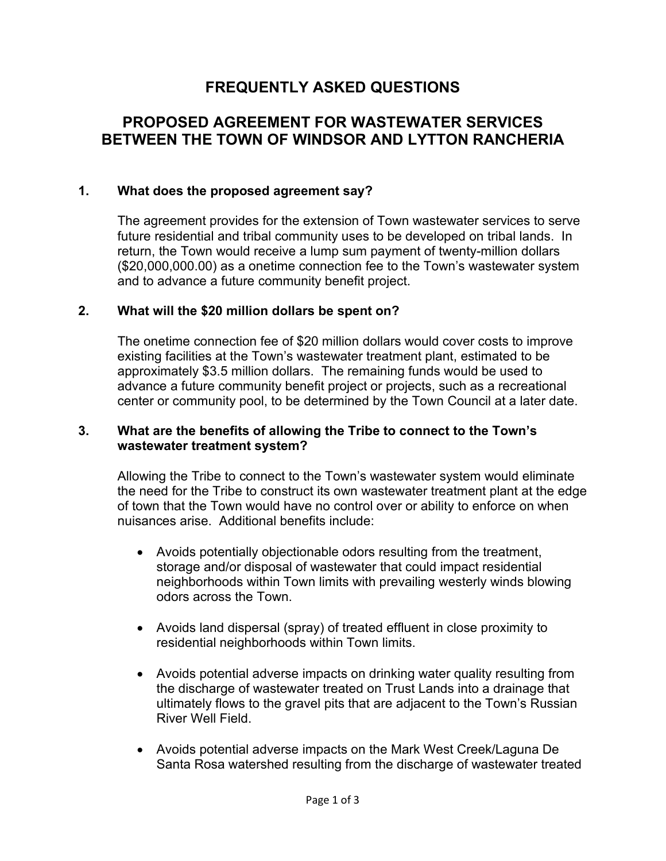# **FREQUENTLY ASKED QUESTIONS**

# **PROPOSED AGREEMENT FOR WASTEWATER SERVICES BETWEEN THE TOWN OF WINDSOR AND LYTTON RANCHERIA**

## **1. What does the proposed agreement say?**

The agreement provides for the extension of Town wastewater services to serve future residential and tribal community uses to be developed on tribal lands. In return, the Town would receive a lump sum payment of twenty-million dollars (\$20,000,000.00) as a onetime connection fee to the Town's wastewater system and to advance a future community benefit project.

## **2. What will the \$20 million dollars be spent on?**

The onetime connection fee of \$20 million dollars would cover costs to improve existing facilities at the Town's wastewater treatment plant, estimated to be approximately \$3.5 million dollars. The remaining funds would be used to advance a future community benefit project or projects, such as a recreational center or community pool, to be determined by the Town Council at a later date.

## **3. What are the benefits of allowing the Tribe to connect to the Town's wastewater treatment system?**

Allowing the Tribe to connect to the Town's wastewater system would eliminate the need for the Tribe to construct its own wastewater treatment plant at the edge of town that the Town would have no control over or ability to enforce on when nuisances arise. Additional benefits include:

- Avoids potentially objectionable odors resulting from the treatment, storage and/or disposal of wastewater that could impact residential neighborhoods within Town limits with prevailing westerly winds blowing odors across the Town.
- Avoids land dispersal (spray) of treated effluent in close proximity to residential neighborhoods within Town limits.
- Avoids potential adverse impacts on drinking water quality resulting from the discharge of wastewater treated on Trust Lands into a drainage that ultimately flows to the gravel pits that are adjacent to the Town's Russian River Well Field.
- Avoids potential adverse impacts on the Mark West Creek/Laguna De Santa Rosa watershed resulting from the discharge of wastewater treated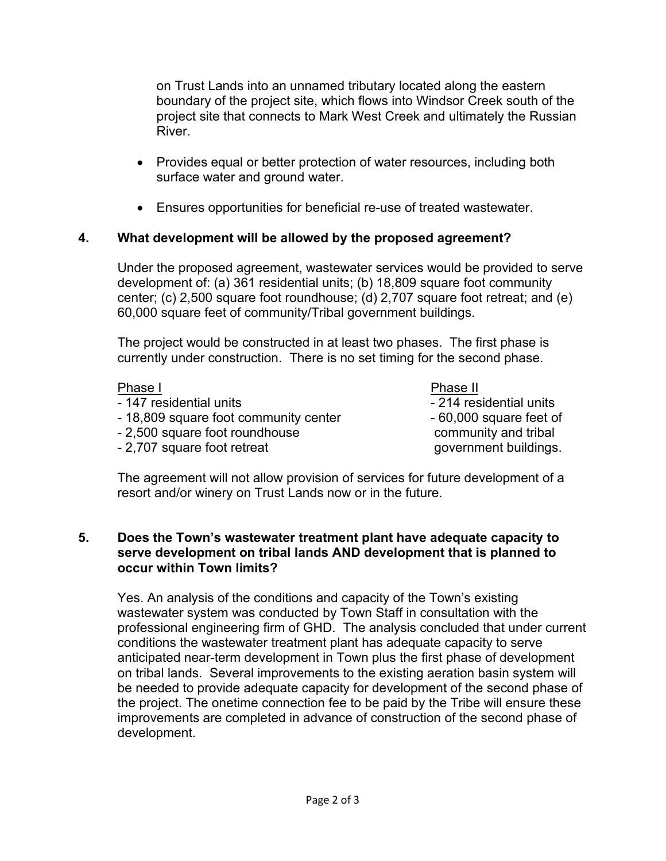on Trust Lands into an unnamed tributary located along the eastern boundary of the project site, which flows into Windsor Creek south of the project site that connects to Mark West Creek and ultimately the Russian River.

- Provides equal or better protection of water resources, including both surface water and ground water.
- Ensures opportunities for beneficial re-use of treated wastewater.

# **4. What development will be allowed by the proposed agreement?**

Under the proposed agreement, wastewater services would be provided to serve development of: (a) 361 residential units; (b) 18,809 square foot community center; (c) 2,500 square foot roundhouse; (d) 2,707 square foot retreat; and (e) 60,000 square feet of community/Tribal government buildings.

The project would be constructed in at least two phases. The first phase is currently under construction. There is no set timing for the second phase.

| Phase I                               | Phase II                |
|---------------------------------------|-------------------------|
| - 147 residential units               | - 214 residential units |
| - 18,809 square foot community center | - 60,000 square feet of |
| - 2,500 square foot roundhouse        | community and tribal    |
| - 2,707 square foot retreat           | government buildings.   |
|                                       |                         |

The agreement will not allow provision of services for future development of a resort and/or winery on Trust Lands now or in the future.

## **5. Does the Town's wastewater treatment plant have adequate capacity to serve development on tribal lands AND development that is planned to occur within Town limits?**

Yes. An analysis of the conditions and capacity of the Town's existing wastewater system was conducted by Town Staff in consultation with the professional engineering firm of GHD. The analysis concluded that under current conditions the wastewater treatment plant has adequate capacity to serve anticipated near-term development in Town plus the first phase of development on tribal lands. Several improvements to the existing aeration basin system will be needed to provide adequate capacity for development of the second phase of the project. The onetime connection fee to be paid by the Tribe will ensure these improvements are completed in advance of construction of the second phase of development.